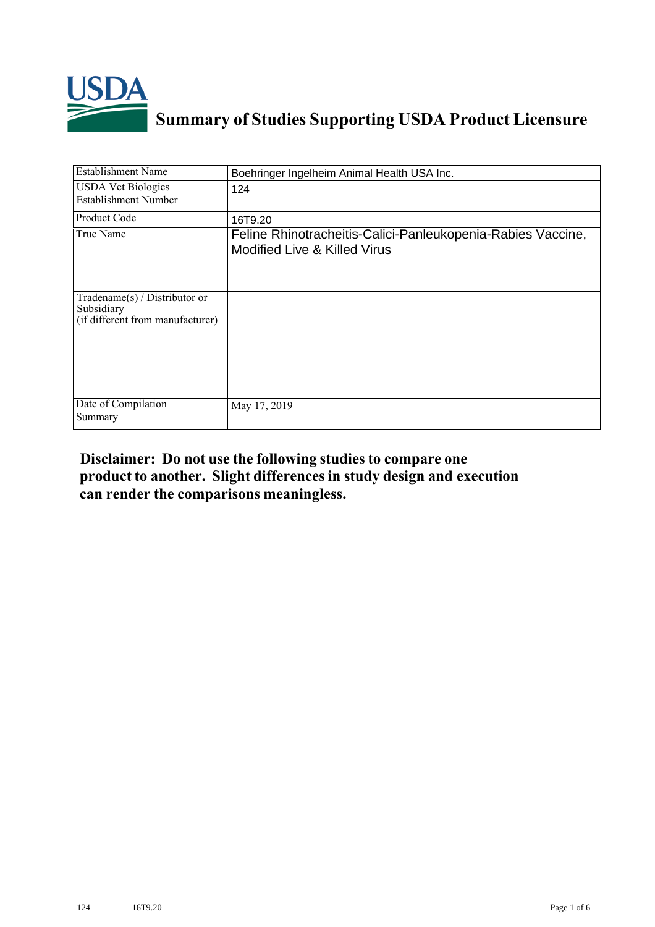

## **Summary of Studies Supporting USDA Product Licensure**

| <b>Establishment Name</b>                                                          | Boehringer Ingelheim Animal Health USA Inc.                                                            |
|------------------------------------------------------------------------------------|--------------------------------------------------------------------------------------------------------|
| <b>USDA Vet Biologics</b><br><b>Establishment Number</b>                           | 124                                                                                                    |
| <b>Product Code</b>                                                                | 16T9.20                                                                                                |
| True Name                                                                          | Feline Rhinotracheitis-Calici-Panleukopenia-Rabies Vaccine,<br><b>Modified Live &amp; Killed Virus</b> |
| Tradename $(s)$ / Distributor or<br>Subsidiary<br>(if different from manufacturer) |                                                                                                        |
| Date of Compilation<br>Summary                                                     | May 17, 2019                                                                                           |

## **Disclaimer: Do not use the following studiesto compare one product to another. Slight differencesin study design and execution can render the comparisons meaningless.**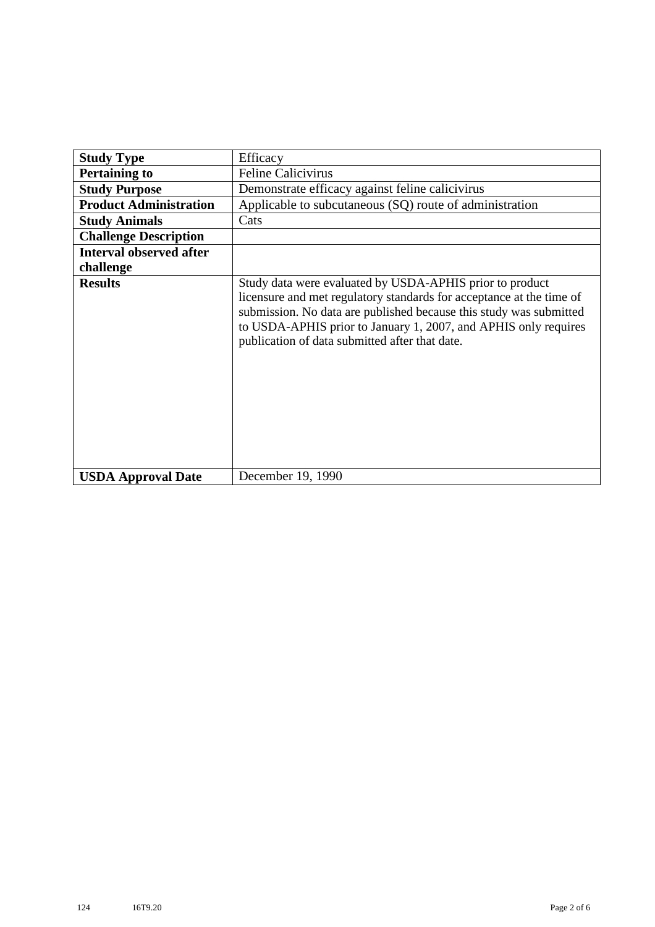| <b>Study Type</b>              | Efficacy                                                                                                                                                                                                                                                                                                                    |
|--------------------------------|-----------------------------------------------------------------------------------------------------------------------------------------------------------------------------------------------------------------------------------------------------------------------------------------------------------------------------|
| <b>Pertaining to</b>           | <b>Feline Calicivirus</b>                                                                                                                                                                                                                                                                                                   |
|                                |                                                                                                                                                                                                                                                                                                                             |
| <b>Study Purpose</b>           | Demonstrate efficacy against feline calicivirus                                                                                                                                                                                                                                                                             |
| <b>Product Administration</b>  | Applicable to subcutaneous (SQ) route of administration                                                                                                                                                                                                                                                                     |
| <b>Study Animals</b>           | Cats                                                                                                                                                                                                                                                                                                                        |
| <b>Challenge Description</b>   |                                                                                                                                                                                                                                                                                                                             |
| <b>Interval observed after</b> |                                                                                                                                                                                                                                                                                                                             |
| challenge                      |                                                                                                                                                                                                                                                                                                                             |
| <b>Results</b>                 | Study data were evaluated by USDA-APHIS prior to product<br>licensure and met regulatory standards for acceptance at the time of<br>submission. No data are published because this study was submitted<br>to USDA-APHIS prior to January 1, 2007, and APHIS only requires<br>publication of data submitted after that date. |
| <b>USDA Approval Date</b>      | December 19, 1990                                                                                                                                                                                                                                                                                                           |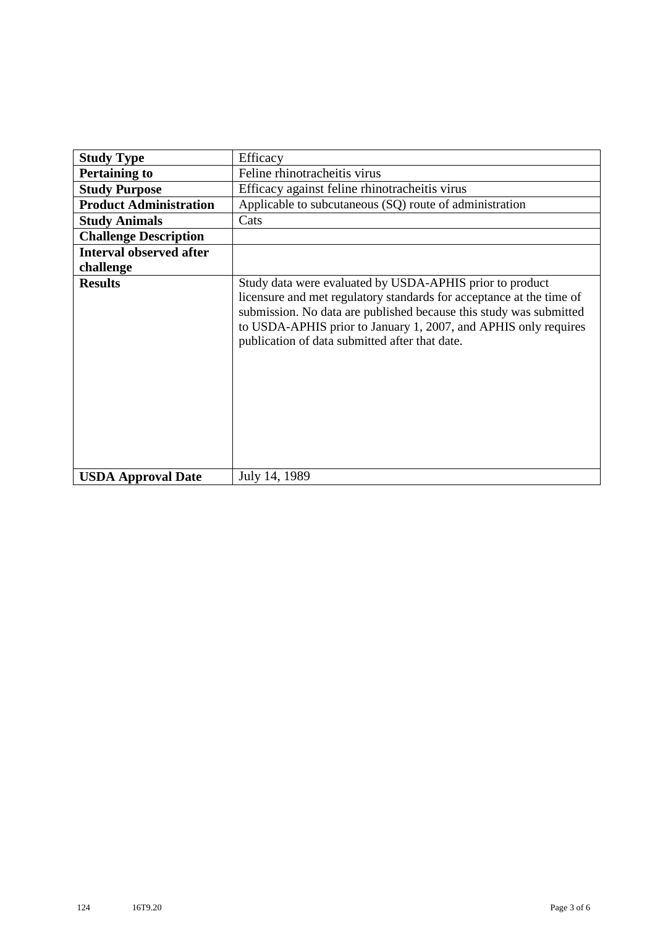| <b>Study Type</b>              | Efficacy                                                                                                                                                                                                                                                                                                                    |
|--------------------------------|-----------------------------------------------------------------------------------------------------------------------------------------------------------------------------------------------------------------------------------------------------------------------------------------------------------------------------|
|                                |                                                                                                                                                                                                                                                                                                                             |
| <b>Pertaining to</b>           | Feline rhinotracheitis virus                                                                                                                                                                                                                                                                                                |
| <b>Study Purpose</b>           | Efficacy against feline rhinotracheitis virus                                                                                                                                                                                                                                                                               |
| <b>Product Administration</b>  | Applicable to subcutaneous (SQ) route of administration                                                                                                                                                                                                                                                                     |
| <b>Study Animals</b>           | Cats                                                                                                                                                                                                                                                                                                                        |
| <b>Challenge Description</b>   |                                                                                                                                                                                                                                                                                                                             |
| <b>Interval observed after</b> |                                                                                                                                                                                                                                                                                                                             |
| challenge                      |                                                                                                                                                                                                                                                                                                                             |
| <b>Results</b>                 | Study data were evaluated by USDA-APHIS prior to product<br>licensure and met regulatory standards for acceptance at the time of<br>submission. No data are published because this study was submitted<br>to USDA-APHIS prior to January 1, 2007, and APHIS only requires<br>publication of data submitted after that date. |
| <b>USDA Approval Date</b>      | July 14, 1989                                                                                                                                                                                                                                                                                                               |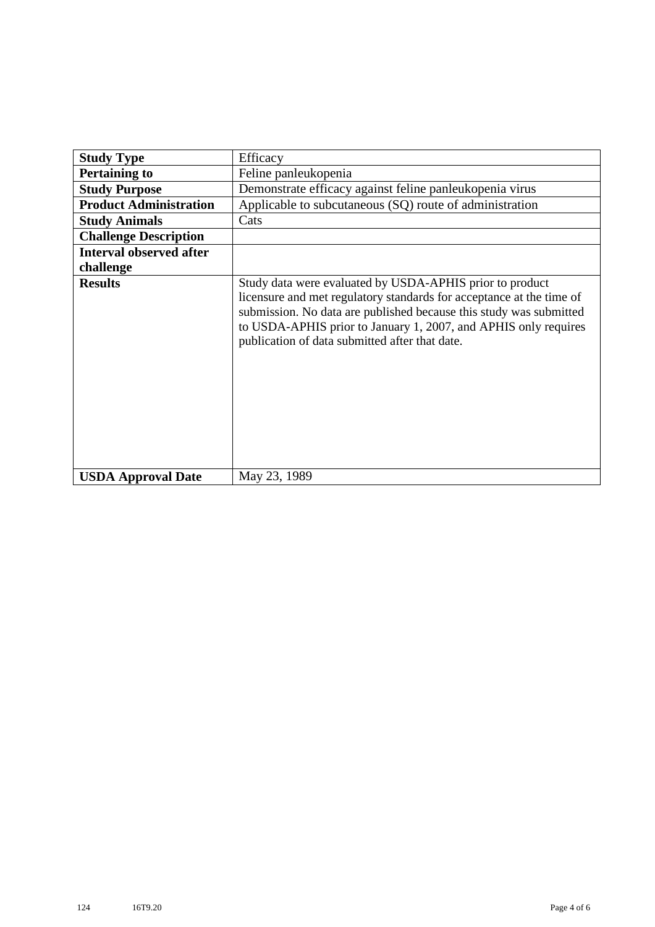| <b>Study Type</b>              | Efficacy                                                                                                                                                                                                                                                                                                                    |
|--------------------------------|-----------------------------------------------------------------------------------------------------------------------------------------------------------------------------------------------------------------------------------------------------------------------------------------------------------------------------|
| <b>Pertaining to</b>           | Feline panleukopenia                                                                                                                                                                                                                                                                                                        |
| <b>Study Purpose</b>           | Demonstrate efficacy against feline panleukopenia virus                                                                                                                                                                                                                                                                     |
| <b>Product Administration</b>  | Applicable to subcutaneous (SQ) route of administration                                                                                                                                                                                                                                                                     |
| <b>Study Animals</b>           | Cats                                                                                                                                                                                                                                                                                                                        |
| <b>Challenge Description</b>   |                                                                                                                                                                                                                                                                                                                             |
| <b>Interval observed after</b> |                                                                                                                                                                                                                                                                                                                             |
| challenge                      |                                                                                                                                                                                                                                                                                                                             |
| <b>Results</b>                 | Study data were evaluated by USDA-APHIS prior to product<br>licensure and met regulatory standards for acceptance at the time of<br>submission. No data are published because this study was submitted<br>to USDA-APHIS prior to January 1, 2007, and APHIS only requires<br>publication of data submitted after that date. |
| <b>USDA Approval Date</b>      | May 23, 1989                                                                                                                                                                                                                                                                                                                |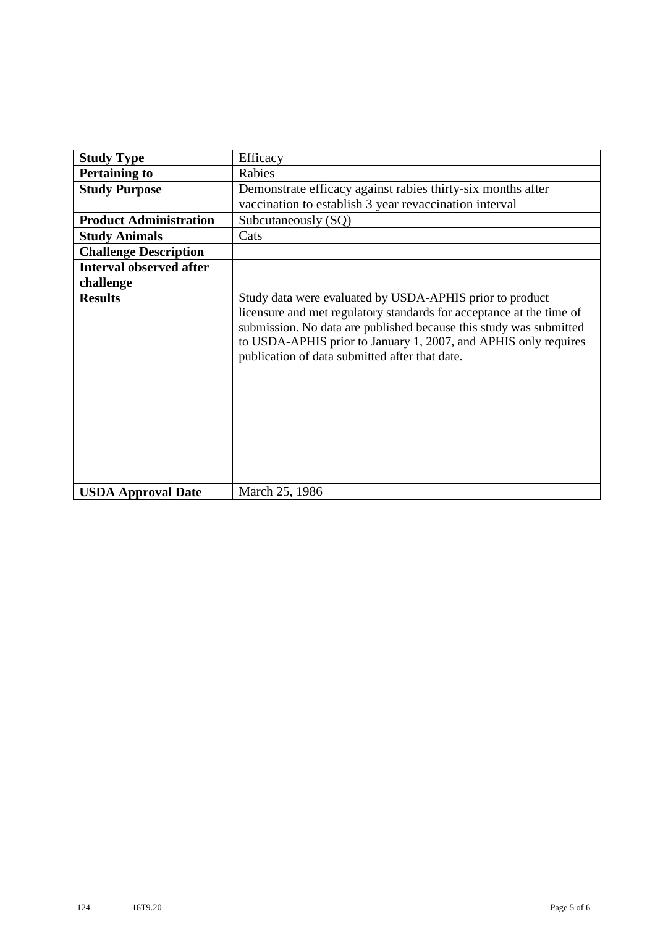| <b>Study Type</b>              | Efficacy                                                                                                                                                                                                                                                                                                                    |
|--------------------------------|-----------------------------------------------------------------------------------------------------------------------------------------------------------------------------------------------------------------------------------------------------------------------------------------------------------------------------|
| <b>Pertaining to</b>           | Rabies                                                                                                                                                                                                                                                                                                                      |
| <b>Study Purpose</b>           | Demonstrate efficacy against rabies thirty-six months after<br>vaccination to establish 3 year revaccination interval                                                                                                                                                                                                       |
| <b>Product Administration</b>  | Subcutaneously (SQ)                                                                                                                                                                                                                                                                                                         |
| <b>Study Animals</b>           | Cats                                                                                                                                                                                                                                                                                                                        |
| <b>Challenge Description</b>   |                                                                                                                                                                                                                                                                                                                             |
| <b>Interval observed after</b> |                                                                                                                                                                                                                                                                                                                             |
| challenge                      |                                                                                                                                                                                                                                                                                                                             |
| <b>Results</b>                 | Study data were evaluated by USDA-APHIS prior to product<br>licensure and met regulatory standards for acceptance at the time of<br>submission. No data are published because this study was submitted<br>to USDA-APHIS prior to January 1, 2007, and APHIS only requires<br>publication of data submitted after that date. |
| <b>USDA Approval Date</b>      | March 25, 1986                                                                                                                                                                                                                                                                                                              |